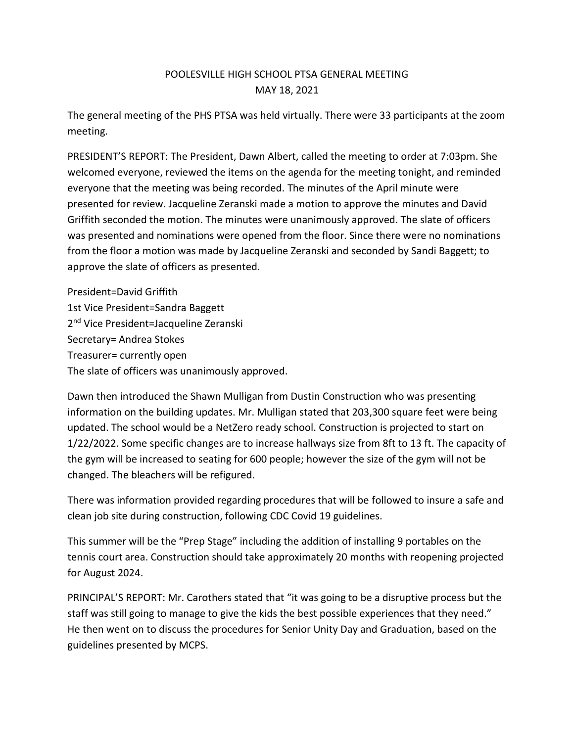## POOLESVILLE HIGH SCHOOL PTSA GENERAL MEETING MAY 18, 2021

The general meeting of the PHS PTSA was held virtually. There were 33 participants at the zoom meeting.

PRESIDENT'S REPORT: The President, Dawn Albert, called the meeting to order at 7:03pm. She welcomed everyone, reviewed the items on the agenda for the meeting tonight, and reminded everyone that the meeting was being recorded. The minutes of the April minute were presented for review. Jacqueline Zeranski made a motion to approve the minutes and David Griffith seconded the motion. The minutes were unanimously approved. The slate of officers was presented and nominations were opened from the floor. Since there were no nominations from the floor a motion was made by Jacqueline Zeranski and seconded by Sandi Baggett; to approve the slate of officers as presented.

President=David Griffith 1st Vice President=Sandra Baggett 2<sup>nd</sup> Vice President=Jacqueline Zeranski Secretary= Andrea Stokes Treasurer= currently open The slate of officers was unanimously approved.

Dawn then introduced the Shawn Mulligan from Dustin Construction who was presenting information on the building updates. Mr. Mulligan stated that 203,300 square feet were being updated. The school would be a NetZero ready school. Construction is projected to start on 1/22/2022. Some specific changes are to increase hallways size from 8ft to 13 ft. The capacity of the gym will be increased to seating for 600 people; however the size of the gym will not be changed. The bleachers will be refigured.

There was information provided regarding procedures that will be followed to insure a safe and clean job site during construction, following CDC Covid 19 guidelines.

This summer will be the "Prep Stage" including the addition of installing 9 portables on the tennis court area. Construction should take approximately 20 months with reopening projected for August 2024.

PRINCIPAL'S REPORT: Mr. Carothers stated that "it was going to be a disruptive process but the staff was still going to manage to give the kids the best possible experiences that they need." He then went on to discuss the procedures for Senior Unity Day and Graduation, based on the guidelines presented by MCPS.